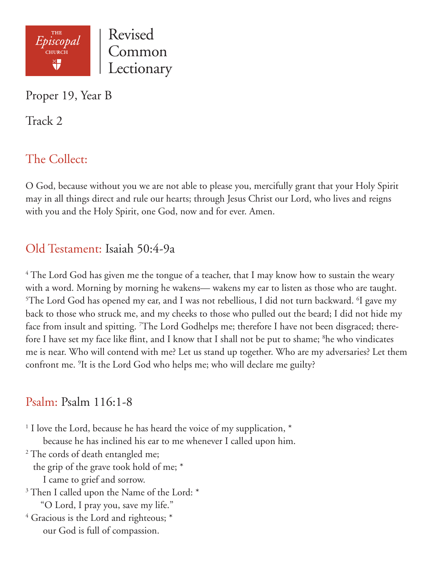

Proper 19, Year B

Track 2

# The Collect:

O God, because without you we are not able to please you, mercifully grant that your Holy Spirit may in all things direct and rule our hearts; through Jesus Christ our Lord, who lives and reigns with you and the Holy Spirit, one God, now and for ever. Amen.

### Old Testament: Isaiah 50:4-9a

 $4$  The Lord God has given me the tongue of a teacher, that I may know how to sustain the weary with a word. Morning by morning he wakens— wakens my ear to listen as those who are taught.  $5$ The Lord God has opened my ear, and I was not rebellious, I did not turn backward.  $6$ I gave my back to those who struck me, and my cheeks to those who pulled out the beard; I did not hide my face from insult and spitting. <sup>7</sup>The Lord Godhelps me; therefore I have not been disgraced; therefore I have set my face like flint, and I know that I shall not be put to shame; <sup>8</sup>he who vindicates me is near. Who will contend with me? Let us stand up together. Who are my adversaries? Let them confront me. 9 It is the Lord God who helps me; who will declare me guilty?

#### Psalm: Psalm 116:1-8

<sup>1</sup> I love the Lord, because he has heard the voice of my supplication,  $*$  because he has inclined his ear to me whenever I called upon him. <sup>2</sup> The cords of death entangled me; the grip of the grave took hold of me; \* I came to grief and sorrow. <sup>3</sup> Then I called upon the Name of the Lord: \* "O Lord, I pray you, save my life." 4 Gracious is the Lord and righteous; \* our God is full of compassion.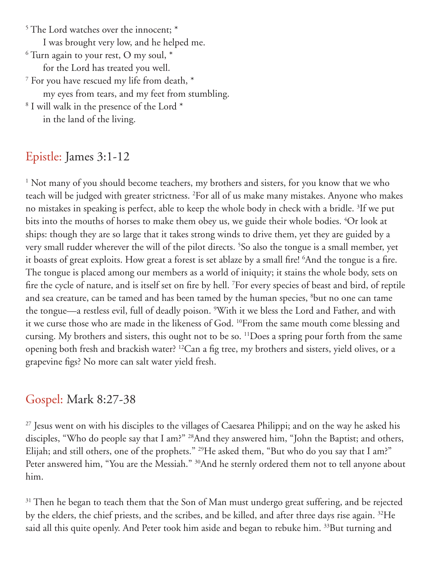5 The Lord watches over the innocent; \* I was brought very low, and he helped me.  $^6$  Turn again to your rest, O my soul,  $^\ast$  for the Lord has treated you well. 7 For you have rescued my life from death, \* my eyes from tears, and my feet from stumbling. 8 I will walk in the presence of the Lord \* in the land of the living.

## Epistle: James 3:1-12

<sup>1</sup> Not many of you should become teachers, my brothers and sisters, for you know that we who teach will be judged with greater strictness. <sup>2</sup>For all of us make many mistakes. Anyone who makes no mistakes in speaking is perfect, able to keep the whole body in check with a bridle. 3 If we put bits into the mouths of horses to make them obey us, we guide their whole bodies. 4 Or look at ships: though they are so large that it takes strong winds to drive them, yet they are guided by a very small rudder wherever the will of the pilot directs. 5 So also the tongue is a small member, yet it boasts of great exploits. How great a forest is set ablaze by a small fire! 6 And the tongue is a fire. The tongue is placed among our members as a world of iniquity; it stains the whole body, sets on fire the cycle of nature, and is itself set on fire by hell. 7 For every species of beast and bird, of reptile and sea creature, can be tamed and has been tamed by the human species, 8 but no one can tame the tongue—a restless evil, full of deadly poison. <sup>9</sup>With it we bless the Lord and Father, and with it we curse those who are made in the likeness of God. 10From the same mouth come blessing and cursing. My brothers and sisters, this ought not to be so. 11Does a spring pour forth from the same opening both fresh and brackish water? 12Can a fig tree, my brothers and sisters, yield olives, or a grapevine figs? No more can salt water yield fresh.

#### Gospel: Mark 8:27-38

<sup>27</sup> Jesus went on with his disciples to the villages of Caesarea Philippi; and on the way he asked his disciples, "Who do people say that I am?" 28And they answered him, "John the Baptist; and others, Elijah; and still others, one of the prophets." <sup>29</sup>He asked them, "But who do you say that I am?" Peter answered him, "You are the Messiah." <sup>30</sup>And he sternly ordered them not to tell anyone about him.

<sup>31</sup> Then he began to teach them that the Son of Man must undergo great suffering, and be rejected by the elders, the chief priests, and the scribes, and be killed, and after three days rise again. 32He said all this quite openly. And Peter took him aside and began to rebuke him. <sup>33</sup>But turning and